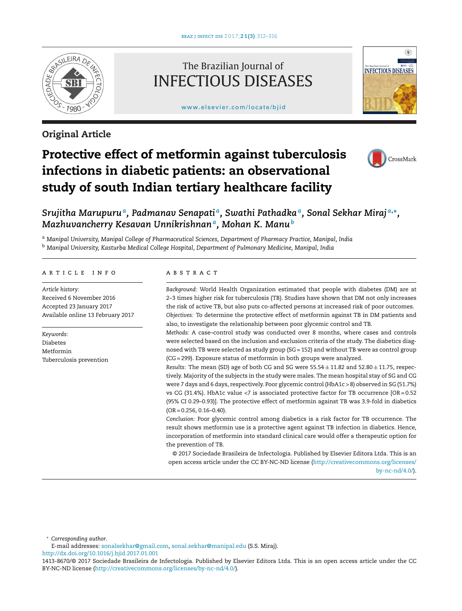

# **Original Article**

# The Brazilian Journal of INFECTIOUS DISEASES

#### [www.elsevier.com/locate/bjid](http://www.elsevier.com/locate/bjid)



# **Protective effect of metformin against tuberculosis infections in diabetic patients: an observational study of south Indian tertiary healthcare facility**



# *Srujitha Marupurua, Padmanav Senapati a, Swathi Pathadkaa, Sonal Sekhar Miraj <sup>a</sup>***,∗***, Mazhuvancherry Kesavan Unnikrishnana, Mohan K. Manu<sup>b</sup>*

<sup>a</sup> *Manipal University, Manipal College of Pharmaceutical Sciences, Department of Pharmacy Practice, Manipal, India* <sup>b</sup> *Manipal University, Kasturba Medical College Hospital, Department of Pulmonary Medicine, Manipal, India*

# a r t i c l e i n f o

*Article history:* Received 6 November 2016 Accepted 23 January 2017 Available online 13 February 2017

*Keywords:* Diabetes Metformin Tuberculosis prevention

#### a b s t r a c t

*Background:* World Health Organization estimated that people with diabetes (DM) are at 2–3 times higher risk for tuberculosis (TB). Studies have shown that DM not only increases the risk of active TB, but also puts co-affected persons at increased risk of poor outcomes. *Objectives:* To determine the protective effect of metformin against TB in DM patients and also, to investigate the relationship between poor glycemic control and TB.

*Methods:* A case–control study was conducted over 8 months, where cases and controls were selected based on the inclusion and exclusion criteria of the study. The diabetics diagnosed with TB were selected as study group (SG = 152) and without TB were as control group (CG = 299). Exposure status of metformin in both groups were analyzed.

*Results:* The mean (SD) age of both CG and SG were  $55.54 \pm 11.82$  and  $52.80 \pm 11.75$ , respectively. Majority of the subjects in the study were males. The mean hospital stay of SG and CG were 7 days and 6 days, respectively. Poor glycemic control (HbA1c > 8) observed in SG (51.7%) vs CG (31.4%). HbA1c value <7 is associated protective factor for TB occurrence [OR = 0.52 (95% CI 0.29–0.93)]. The protective effect of metformin against TB was 3.9-fold in diabetics  $(OR = 0.256, 0.16 - 0.40).$ 

*Conclusion:* Poor glycemic control among diabetics is a risk factor for TB occurrence. The result shows metformin use is a protective agent against TB infection in diabetics. Hence, incorporation of metformin into standard clinical care would offer a therapeutic option for the prevention of TB.

© 2017 Sociedade Brasileira de Infectologia. Published by Elsevier Editora Ltda. This is an open access article under the CC BY-NC-ND license ([http://creativecommons.org/licenses/](http://creativecommons.org/licenses/by-nc-nd/4.0/) [by-nc-nd/4.0/](http://creativecommons.org/licenses/by-nc-nd/4.0/)).

∗ *Corresponding author*.

E-mail addresses: [sonalsekhar@gmail.com,](mailto:sonalsekhar@gmail.com) [sonal.sekhar@manipal.edu](mailto:sonal.sekhar@manipal.edu) (S.S. Miraj).

[http://dx.doi.org/10.1016/j.bjid.2017.01.001](dx.doi.org/10.1016/j.bjid.2017.01.001)

<sup>1413-8670/©</sup> 2017 Sociedade Brasileira de Infectologia. Published by Elsevier Editora Ltda. This is an open access article under the CC BY-NC-ND license [\(http://creativecommons.org/licenses/by-nc-nd/4.0/](http://creativecommons.org/licenses/by-nc-nd/4.0/)).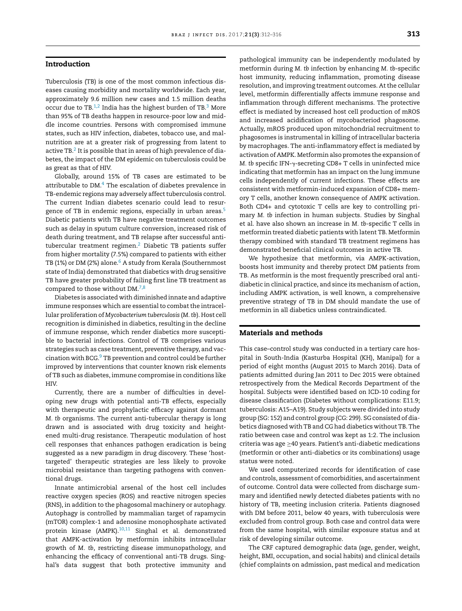#### **Introduction**

Tuberculosis (TB) is one of the most common infectious diseases causing morbidity and mortality worldwide. Each year, approximately 9.6 million new cases and 1.5 million deaths occur due to TB. $^{1,2}$  $^{1,2}$  $^{1,2}$  India has the highest burden of TB. $^3$  More than 95% of TB deaths happen in resource-poor low and middle income countries. Persons with compromised immune states, such as HIV infection, diabetes, tobacco use, and malnutrition are at a greater risk of progressing from latent to active TB[.2](#page-4-0) It is possible that in areas of high prevalence of diabetes, the impact of the DM epidemic on tuberculosis could be as great as that of HIV.

Globally, around 15% of TB cases are estimated to be attributable to  $DM<sup>4</sup>$  $DM<sup>4</sup>$  $DM<sup>4</sup>$ . The escalation of diabetes prevalence in TB-endemic regions may adversely affect tuberculosis control. The current Indian diabetes scenario could lead to resurgence of TB in endemic regions, especially in urban areas.<sup>5</sup> Diabetic patients with TB have negative treatment outcomes such as delay in sputum culture conversion, increased risk of death during treatment, and TB relapse after successful antitubercular treatment regimen.<sup>2</sup> Diabetic TB patients suffer from higher mortality (7.5%) compared to patients with either TB (1%) or DM (2%) alone.<sup>[6](#page-4-0)</sup> A study from Kerala (Southernmost state of India) demonstrated that diabetics with drug sensitive TB have greater probability of failing first line TB treatment as compared to those without DM.<sup>[7,8](#page-4-0)</sup>

Diabetes is associated with diminished innate and adaptive immune responses which are essential to combat the intracellular proliferation of *Mycobacterium tuberculosis* (*M. tb*). Host cell recognition is diminished in diabetics, resulting in the decline of immune response, which render diabetics more susceptible to bacterial infections. Control of TB comprises various strategies such as case treatment, preventive therapy, and vaccination with BCG.<sup>9</sup> TB prevention and control could be further improved by interventions that counter known risk elements of TB such as diabetes, immune compromise in conditions like HIV.

Currently, there are a number of difficulties in developing new drugs with potential anti-TB effects, especially with therapeutic and prophylactic efficacy against dormant *M. tb* organisms. The current anti-tubercular therapy is long drawn and is associated with drug toxicity and heightened multi-drug resistance. Therapeutic modulation of host cell responses that enhances pathogen eradication is being suggested as a new paradigm in drug discovery. These 'hosttargeted' therapeutic strategies are less likely to provoke microbial resistance than targeting pathogens with conventional drugs.

Innate antimicrobial arsenal of the host cell includes reactive oxygen species (ROS) and reactive nitrogen species (RNS), in addition to the phagosomal machinery or autophagy. Autophagy is controlled by mammalian target of rapamycin (mTOR) complex-1 and adenosine monophosphate activated protein kinase  $(AMPK).^{10,11}$  Singhal et al. demonstrated that AMPK-activation by metformin inhibits intracellular growth of *M. tb*, restricting disease immunopathology, and enhancing the efficacy of conventional anti-TB drugs. Singhal's data suggest that both protective immunity and

pathological immunity can be independently modulated by metformin during *M. tb* infection by enhancing *M. tb*-specific host immunity, reducing inflammation, promoting disease resolution, and improving treatment outcomes. At the cellular level, metformin differentially affects immune response and inflammation through different mechanisms. The protective effect is mediated by increased host cell production of mROS and increased acidification of mycobacteriod phagosome. Actually, mROS produced upon mitochondrial recruitment to phagosomes is instrumental in killing of intracellular bacteria by macrophages. The anti-inflammatory effect is mediated by activation of AMPK. Metformin also promotes the expansion of M. *tb* specific IFN-γ-secreting CD8+ T cells in uninfected mice indicating that metformin has an impact on the lung immune cells independently of current infections. These effects are consistent with metformin-induced expansion of CD8+ memory T cells, another known consequence of AMPK activation. Both CD4+ and cytotoxic T cells are key to controlling primary *M. tb* infection in human subjects. Studies by Singhal et al. have also shown an increase in *M. tb*-specific T cells in metformin treated diabetic patients with latent TB. Metformin therapy combined with standard TB treatment regimens has demonstrated beneficial clinical outcomes in active TB.

We hypothesize that metformin, via AMPK-activation, boosts host immunity and thereby protect DM patients from TB. As metformin is the most frequently prescribed oral antidiabetic in clinical practice, and since its mechanism of action, including AMPK activation, is well known, a comprehensive preventive strategy of TB in DM should mandate the use of metformin in all diabetics unless contraindicated.

# **Materials and methods**

This case–control study was conducted in a tertiary care hospital in South-India (Kasturba Hospital (KH), Manipal) for a period of eight months (August 2015 to March 2016). Data of patients admitted during Jan 2011 to Dec 2015 were obtained retrospectively from the Medical Records Department of the hospital. Subjects were identified based on ICD-10 coding for disease classification (Diabetes without complications: E11.9; tuberculosis: A15–A19). Study subjects were divided into study group (SG: 152) and control group (CG: 299). SG consisted of diabetics diagnosed with TB and CG had diabetics without TB. The ratio between case and control was kept as 1:2. The inclusion criteria was age ≥40 years. Patient's anti-diabetic medications (metformin or other anti-diabetics or its combinations) usage status were noted.

We used computerized records for identification of case and controls, assessment of comorbidities, and ascertainment of outcome. Control data were collected from discharge summary and identified newly detected diabetes patients with no history of TB, meeting inclusion criteria. Patients diagnosed with DM before 2011, below 40 years, with tuberculosis were excluded from control group. Both case and control data were from the same hospital, with similar exposure status and at risk of developing similar outcome.

The CRF captured demographic data (age, gender, weight, height, BMI, occupation, and social habits) and clinical details (chief complaints on admission, past medical and medication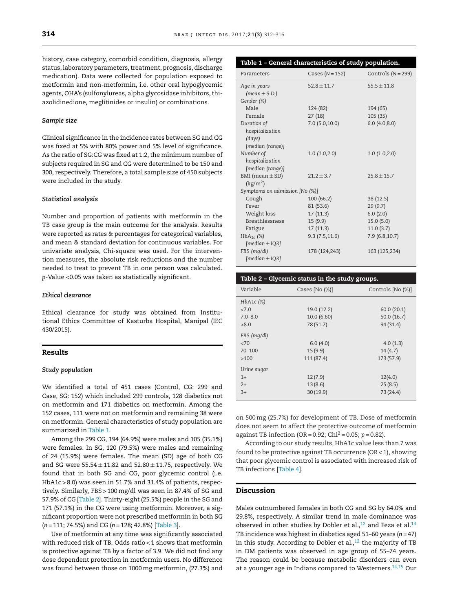history, case category, comorbid condition, diagnosis, allergy status, laboratory parameters, treatment, prognosis, discharge medication). Data were collected for population exposed to metformin and non-metformin, i.e. other oral hypoglycemic agents, OHA's (sulfonylureas, alpha glycosidase inhibitors, thiazolidinedione, meglitinides or insulin) or combinations.

#### *Sample size*

Clinical significance in the incidence rates between SG and CG was fixed at 5% with 80% power and 5% level of significance. As the ratio of SG:CG was fixed at 1:2, the minimum number of subjects required in SG and CG were determined to be 150 and 300, respectively. Therefore, a total sample size of 450 subjects were included in the study.

#### *Statistical analysis*

Number and proportion of patients with metformin in the TB case group is the main outcome for the analysis. Results were reported as rates & percentages for categorical variables, and mean & standard deviation for continuous variables. For univariate analysis, Chi-square was used. For the intervention measures, the absolute risk reductions and the number needed to treat to prevent TB in one person was calculated. *p*-Value <0.05 was taken as statistically significant.

### *Ethical clearance*

Ethical clearance for study was obtained from Institutional Ethics Committee of Kasturba Hospital, Manipal (IEC 430/2015).

#### **Results**

#### *Study population*

We identified a total of 451 cases (Control, CG: 299 and Case, SG: 152) which included 299 controls, 128 diabetics not on metformin and 171 diabetics on metformin. Among the 152 cases, 111 were not on metformin and remaining 38 were on metformin. General characteristics of study population are summarized in Table 1.

Among the 299 CG, 194 (64.9%) were males and 105 (35.1%) were females. In SG, 120 (79.5%) were males and remaining of 24 (15.9%) were females. The mean (SD) age of both CG and SG were  $55.54 \pm 11.82$  and  $52.80 \pm 11.75$ , respectively. We found that in both SG and CG, poor glycemic control (i.e. HbA1c > 8.0) was seen in 51.7% and 31.4% of patients, respectively. Similarly, FBS > 100mg/dl was seen in 87.4% of SG and 57.9% of CG [Table 2]. Thirty-eight (25.5%) people in the SG and 171 (57.1%) in the CG were using metformin. Moreover, a significant proportion were not prescribed metformin in both SG (*n* = 111; 74.5%) and CG (*n* = 128; 42.8%) [[Table](#page-3-0) 3].

Use of metformin at any time was significantly associated with reduced risk of TB. Odds ratio < 1 shows that metformin is protective against TB by a factor of 3.9. We did not find any dose dependent protection in metformin users. No difference was found between those on 1000mg metformin, (27.3%) and

| Table 1 - General characteristics of study population. |                   |                        |  |  |  |
|--------------------------------------------------------|-------------------|------------------------|--|--|--|
| Parameters                                             | Cases $(N = 152)$ | Controls ( $N = 299$ ) |  |  |  |
| Age in years                                           | $52.8 + 11.7$     | $55.5 + 11.8$          |  |  |  |
| (mean $\pm$ S.D.)                                      |                   |                        |  |  |  |
| Gender (%)                                             |                   |                        |  |  |  |
| Male                                                   | 124 (82)          | 194 (65)               |  |  |  |
| Female                                                 | 27(18)            | 105 (35)               |  |  |  |
| Duration of                                            | 7.0(5.0,10.0)     | 6.0(4.0, 8.0)          |  |  |  |
| hospitalization                                        |                   |                        |  |  |  |
| (days)                                                 |                   |                        |  |  |  |
| [median (range)]                                       |                   |                        |  |  |  |
| Number of                                              | 1.0(1.0, 2.0)     | 1.0(1.0,2.0)           |  |  |  |
| hospitalization                                        |                   |                        |  |  |  |
| [median (range)]                                       |                   |                        |  |  |  |
| BMI (mean $\pm$ SD)                                    | $21.2 + 3.7$      | $25.8 + 15.7$          |  |  |  |
| $\text{kg/m}^2$ )                                      |                   |                        |  |  |  |
| Symptoms on admission [No (%)]                         |                   |                        |  |  |  |
| Cough                                                  | 100 (66.2)        | 38 (12.5)              |  |  |  |
| Fever                                                  | 81 (53.6)         | 29(9.7)                |  |  |  |
| Weight loss                                            | 17(11.3)          | 6.0(2.0)               |  |  |  |
| <b>Breathlessness</b>                                  | 15(9.9)           | 15.0(5.0)              |  |  |  |
| Fatigue                                                | 17(11.3)          | 11.0(3.7)              |  |  |  |
| $HbA_{1c}$ (%)                                         | 9.3(7.5, 11.6)    | 7.9(6.8, 10.7)         |  |  |  |
| [median $\pm$ IQR]                                     |                   |                        |  |  |  |
| FBS (mg/dl)                                            | 178 (124,243)     | 163 (125,234)          |  |  |  |
| $[median \pm IQR]$                                     |                   |                        |  |  |  |

| Table 2 - Glycemic status in the study groups. |                |                   |  |  |  |  |
|------------------------------------------------|----------------|-------------------|--|--|--|--|
| Variable                                       | Cases [No (%)] | Controls [No (%)] |  |  |  |  |
| $HbA1c$ $(\%)$                                 |                |                   |  |  |  |  |
| 27.0                                           | 19.0 (12.2)    | 60.0(20.1)        |  |  |  |  |
| $7.0 - 8.0$                                    | 10.0(6.60)     | 50.0(16.7)        |  |  |  |  |
| >8.0                                           | 78 (51.7)      | 94 (31.4)         |  |  |  |  |
| FBS (mg/dl)                                    |                |                   |  |  |  |  |
| 270                                            | 6.0(4.0)       | 4.0(1.3)          |  |  |  |  |
| 70-100                                         | 15(9.9)        | 14(4.7)           |  |  |  |  |
| >100                                           | 111(87.4)      | 173 (57.9)        |  |  |  |  |
| Urine sugar                                    |                |                   |  |  |  |  |
| $1+$                                           | 12(7.9)        | 12(4.0)           |  |  |  |  |
| $2+$                                           | 13(8.6)        | 25(8.5)           |  |  |  |  |
| $3+$                                           | 30(19.9)       | 73 (24.4)         |  |  |  |  |

on 500mg (25.7%) for development of TB. Dose of metformin does not seem to affect the protective outcome of metformin against TB infection (OR = 0.92; Chi2 = 0.05; *p* = 0.82).

According to our study results, HbA1c value less than 7 was found to be protective against TB occurrence (OR < 1), showing that poor glycemic control is associated with increased risk of TB infections [[Table](#page-3-0) 4].

## **Discussion**

Males outnumbered females in both CG and SG by 64.0% and 29.8%, respectively. A similar trend in male dominance was observed in other studies by Dobler et al., $^{12}$  and Feza et al. $^{13}$ TB incidence was highest in diabetics aged 51–60 years (*n* = 47) in this study. According to Dobler et al., $^{12}$  the majority of TB in DM patients was observed in age group of 55–74 years. The reason could be because metabolic disorders can even at a younger age in Indians compared to Westerners. $14,15$  Our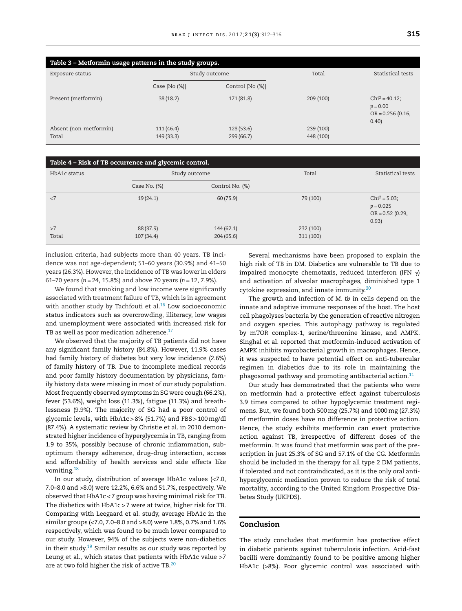<span id="page-3-0"></span>

| Table 3 - Metformin usage patterns in the study groups. |                         |                         |                        |                                                                 |  |  |  |
|---------------------------------------------------------|-------------------------|-------------------------|------------------------|-----------------------------------------------------------------|--|--|--|
| Exposure status                                         | Study outcome           |                         | Total                  | Statistical tests                                               |  |  |  |
|                                                         | Case $[No (%)]$         | Control [No (%)]        |                        |                                                                 |  |  |  |
| Present (metformin)                                     | 38(18.2)                | 171 (81.8)              | 209 (100)              | $Chi^2 = 40.12$ ;<br>$p = 0.00$<br>$OR = 0.256 (0.16,$<br>0.40) |  |  |  |
| Absent (non-metformin)<br>Total                         | 111(46.4)<br>149 (33.3) | 128 (53.6)<br>299(66.7) | 239 (100)<br>448 (100) |                                                                 |  |  |  |

#### **Table 4 – Risk of TB occurrence and glycemic control.**

| HbA1c status | Study outcome          |                        | Total                  | Statistical tests                                             |
|--------------|------------------------|------------------------|------------------------|---------------------------------------------------------------|
|              | Case No. (%)           | Control No. (%)        |                        |                                                               |
| $\langle$ 7  | 19(24.1)               | 60(75.9)               | 79 (100)               | $Chi^2 = 5.03;$<br>$p = 0.025$<br>$OR = 0.52$ (0.29,<br>0.93) |
| >7<br>Total  | 88 (37.9)<br>107(34.4) | 144(62.1)<br>204(65.6) | 232 (100)<br>311 (100) |                                                               |

inclusion criteria, had subjects more than 40 years. TB incidence was not age-dependent; 51–60 years (30.9%) and 41–50 years (26.3%). However, the incidence of TB was lower in elders 61–70 years (*n* = 24, 15.8%) and above 70 years (*n* = 12, 7.9%).

We found that smoking and low income were significantly associated with treatment failure of TB, which is in agreement with another study by Tachfouti et al.<sup>[16](#page-4-0)</sup> Low socioeconomic status indicators such as overcrowding, illiteracy, low wages and unemployment were associated with increased risk for TB as well as poor medication adherence. $17$ 

We observed that the majority of TB patients did not have any significant family history (84.8%). However, 11.9% cases had family history of diabetes but very low incidence (2.6%) of family history of TB. Due to incomplete medical records and poor family history documentation by physicians, family history data were missing in most of our study population. Most frequently observed symptoms in SG were cough (66.2%), fever (53.6%), weight loss (11.3%), fatigue (11.3%) and breathlessness (9.9%). The majority of SG had a poor control of glycemic levels, with HbA1c > 8% (51.7%) and FBS > 100mg/dl (87.4%). A systematic review by Christie et al. in 2010 demonstrated higher incidence of hyperglycemia in TB, ranging from 1.9 to 35%, possibly because of chronic inflammation, suboptimum therapy adherence, drug–drug interaction, access and affordability of health services and side effects like vomiting[.18](#page-4-0)

In our study, distribution of average HbA1c values (<7.0, 7.0–8.0 and >8.0) were 12.2%, 6.6% and 51.7%, respectively. We observed that HbA1c < 7 group was having minimal risk for TB. The diabetics with HbA1c > 7 were at twice, higher risk for TB. Comparing with Leegaard et al. study, average HbA1c in the similar groups (<7.0, 7.0–8.0 and >8.0) were 1.8%, 0.7% and 1.6% respectively, which was found to be much lower compared to our study. However, 94% of the subjects were non-diabetics in their study. $19$  Similar results as our study was reported by Leung et al., which states that patients with HbA1c value >7 are at two fold higher the risk of active TB.[20](#page-4-0)

Several mechanisms have been proposed to explain the high risk of TB in DM. Diabetics are vulnerable to TB due to impaired monocyte chemotaxis, reduced interferon (IFN  $_{\gamma})$ and activation of alveolar macrophages, diminished type 1 cytokine expression, and innate immunity[.20](#page-4-0)

The growth and infection of *M. tb* in cells depend on the innate and adaptive immune responses of the host. The host cell phagolyses bacteria by the generation of reactive nitrogen and oxygen species. This autophagy pathway is regulated by mTOR complex-1, serine/threonine kinase, and AMPK. Singhal et al. reported that metformin-induced activation of AMPK inhibits mycobacterial growth in macrophages. Hence, it was suspected to have potential effect on anti-tubercular regimen in diabetics due to its role in maintaining the phagosomal pathway and promoting antibacterial action. $11$ 

Our study has demonstrated that the patients who were on metformin had a protective effect against tuberculosis 3.9 times compared to other hypoglycemic treatment regimens. But, we found both 500mg (25.7%) and 1000mg (27.3%) of metformin doses have no difference in protective action. Hence, the study exhibits metformin can exert protective action against TB, irrespective of different doses of the metformin. It was found that metformin was part of the prescription in just 25.3% of SG and 57.1% of the CG. Metformin should be included in the therapy for all type 2 DM patients, if tolerated and not contraindicated, as it is the only oral antihyperglycemic medication proven to reduce the risk of total mortality, according to the United Kingdom Prospective Diabetes Study (UKPDS).

## **Conclusion**

The study concludes that metformin has protective effect in diabetic patients against tuberculosis infection. Acid-fast bacilli were dominantly found to be positive among higher HbA1c (>8%). Poor glycemic control was associated with